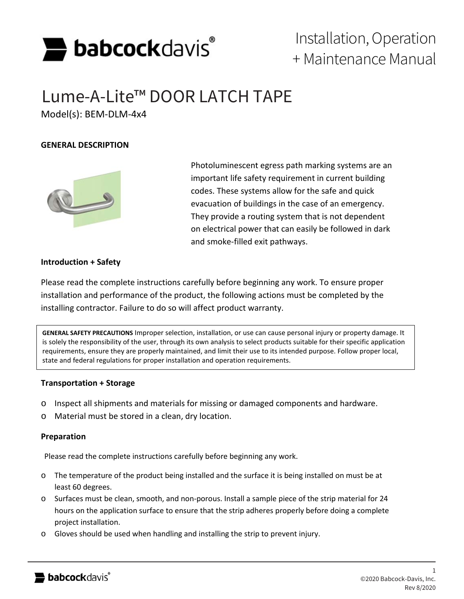

# Installation, Operation + Maintenance Manual

# Lume-A-Lite™ DOOR LATCH TAPE

Model(s): BEM-DLM-4x4

# **GENERAL DESCRIPTION**



Photoluminescent egress path marking systems are an important life safety requirement in current building codes. These systems allow for the safe and quick evacuation of buildings in the case of an emergency. They provide a routing system that is not dependent on electrical power that can easily be followed in dark and smoke-filled exit pathways.

# **Introduction + Safety**

Please read the complete instructions carefully before beginning any work. To ensure proper installation and performance of the product, the following actions must be completed by the installing contractor. Failure to do so will affect product warranty.

**GENERAL SAFETY PRECAUTIONS** Improper selection, installation, or use can cause personal injury or property damage. It is solely the responsibility of the user, through its own analysis to select products suitable for their specific application requirements, ensure they are properly maintained, and limit their use to its intended purpose. Follow proper local, state and federal regulations for proper installation and operation requirements.

# **Transportation + Storage**

- o Inspect all shipments and materials for missing or damaged components and hardware.
- o Material must be stored in a clean, dry location.

# **Preparation**

Please read the complete instructions carefully before beginning any work.

- o The temperature of the product being installed and the surface it is being installed on must be at least 60 degrees.
- o Surfaces must be clean, smooth, and non-porous. Install a sample piece of the strip material for 24 hours on the application surface to ensure that the strip adheres properly before doing a complete project installation.
- o Gloves should be used when handling and installing the strip to prevent injury.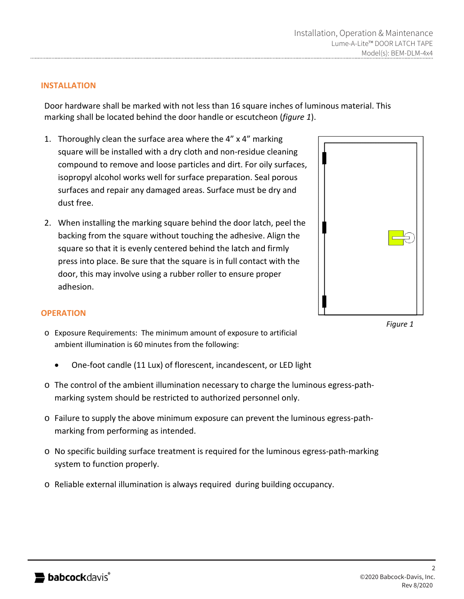# **INSTALLATION**

Door hardware shall be marked with not less than 16 square inches of luminous material. This marking shall be located behind the door handle or escutcheon (*figure 1*).

- 1. Thoroughly clean the surface area where the 4" x 4" marking square will be installed with a dry cloth and non-residue cleaning compound to remove and loose particles and dirt. For oily surfaces, isopropyl alcohol works well for surface preparation. Seal porous surfaces and repair any damaged areas. Surface must be dry and dust free.
- 2. When installing the marking square behind the door latch, peel the backing from the square without touching the adhesive. Align the square so that it is evenly centered behind the latch and firmly press into place. Be sure that the square is in full contact with the door, this may involve using a rubber roller to ensure proper adhesion.

*Figure 1*

# **OPERATION**

- o Exposure Requirements: The minimum amount of exposure to artificial ambient illumination is 60 minutes from the following:
	- One-foot candle (11 Lux) of florescent, incandescent, or LED light
- o The control of the ambient illumination necessary to charge the luminous egress-pathmarking system should be restricted to authorized personnel only.
- o Failure to supply the above minimum exposure can prevent the luminous egress-pathmarking from performing as intended.
- o No specific building surface treatment is required for the luminous egress-path-marking system to function properly.
- o Reliable external illumination is always required during building occupancy.